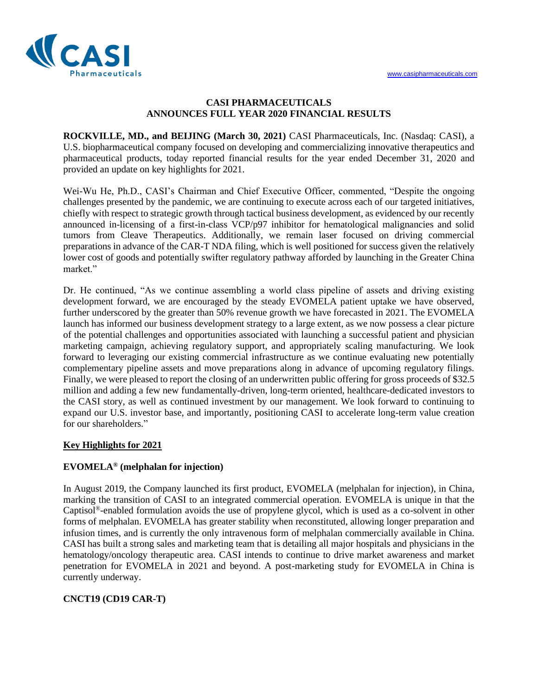

#### **CASI PHARMACEUTICALS ANNOUNCES FULL YEAR 2020 FINANCIAL RESULTS**

**ROCKVILLE, MD., and BEIJING (March 30, 2021)** CASI Pharmaceuticals, Inc. (Nasdaq: CASI), a U.S. biopharmaceutical company focused on developing and commercializing innovative therapeutics and pharmaceutical products, today reported financial results for the year ended December 31, 2020 and provided an update on key highlights for 2021.

Wei-Wu He, Ph.D., CASI's Chairman and Chief Executive Officer, commented, "Despite the ongoing challenges presented by the pandemic, we are continuing to execute across each of our targeted initiatives, chiefly with respect to strategic growth through tactical business development, as evidenced by our recently announced in-licensing of a first-in-class VCP/p97 inhibitor for hematological malignancies and solid tumors from Cleave Therapeutics. Additionally, we remain laser focused on driving commercial preparations in advance of the CAR-T NDA filing, which is well positioned for success given the relatively lower cost of goods and potentially swifter regulatory pathway afforded by launching in the Greater China market."

Dr. He continued, "As we continue assembling a world class pipeline of assets and driving existing development forward, we are encouraged by the steady EVOMELA patient uptake we have observed, further underscored by the greater than 50% revenue growth we have forecasted in 2021. The EVOMELA launch has informed our business development strategy to a large extent, as we now possess a clear picture of the potential challenges and opportunities associated with launching a successful patient and physician marketing campaign, achieving regulatory support, and appropriately scaling manufacturing. We look forward to leveraging our existing commercial infrastructure as we continue evaluating new potentially complementary pipeline assets and move preparations along in advance of upcoming regulatory filings. Finally, we were pleased to report the closing of an underwritten public offering for gross proceeds of \$32.5 million and adding a few new fundamentally-driven, long-term oriented, healthcare-dedicated investors to the CASI story, as well as continued investment by our management. We look forward to continuing to expand our U.S. investor base, and importantly, positioning CASI to accelerate long-term value creation for our shareholders."

#### **Key Highlights for 2021**

#### **EVOMELA® (melphalan for injection)**

In August 2019, the Company launched its first product, EVOMELA (melphalan for injection), in China, marking the transition of CASI to an integrated commercial operation. EVOMELA is unique in that the Captisol®-enabled formulation avoids the use of propylene glycol, which is used as a co-solvent in other forms of melphalan. EVOMELA has greater stability when reconstituted, allowing longer preparation and infusion times, and is currently the only intravenous form of melphalan commercially available in China. CASI has built a strong sales and marketing team that is detailing all major hospitals and physicians in the hematology/oncology therapeutic area. CASI intends to continue to drive market awareness and market penetration for EVOMELA in 2021 and beyond. A post-marketing study for EVOMELA in China is currently underway.

# **CNCT19 (CD19 CAR-T)**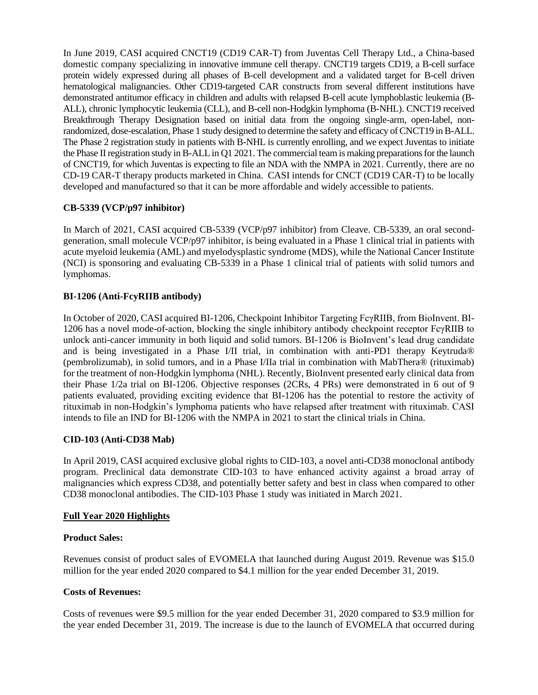In June 2019, CASI acquired CNCT19 (CD19 CAR-T) from Juventas Cell Therapy Ltd., a China-based domestic company specializing in innovative immune cell therapy. CNCT19 targets CD19, a B-cell surface protein widely expressed during all phases of B-cell development and a validated target for B-cell driven hematological malignancies. Other CD19-targeted CAR constructs from several different institutions have demonstrated antitumor efficacy in children and adults with relapsed B-cell acute lymphoblastic leukemia (B-ALL), chronic lymphocytic leukemia (CLL), and B-cell non-Hodgkin lymphoma (B-NHL). CNCT19 received Breakthrough Therapy Designation based on initial data from the ongoing single-arm, open-label, nonrandomized, dose-escalation, Phase 1 study designed to determine the safety and efficacy of CNCT19 in B-ALL. The Phase 2 registration study in patients with B-NHL is currently enrolling, and we expect Juventas to initiate the Phase II registration study in B-ALL in Q1 2021. The commercial team is making preparations for the launch of CNCT19, for which Juventas is expecting to file an NDA with the NMPA in 2021. Currently, there are no CD-19 CAR-T therapy products marketed in China. CASI intends for CNCT (CD19 CAR-T) to be locally developed and manufactured so that it can be more affordable and widely accessible to patients.

# **CB-5339 (VCP/p97 inhibitor)**

In March of 2021, CASI acquired CB-5339 (VCP/p97 inhibitor) from Cleave. CB-5339, an oral secondgeneration, small molecule VCP/p97 inhibitor, is being evaluated in a Phase 1 clinical trial in patients with acute myeloid leukemia (AML) and myelodysplastic syndrome (MDS), while the National Cancer Institute (NCI) is sponsoring and evaluating CB-5339 in a Phase 1 clinical trial of patients with solid tumors and lymphomas.

## **BI-1206 (Anti-FcyRIIB antibody)**

In October of 2020, CASI acquired BI-1206, Checkpoint Inhibitor Targeting FcγRIIB, from BioInvent. BI-1206 has a novel mode-of-action, blocking the single inhibitory antibody checkpoint receptor FcγRIIB to unlock anti-cancer immunity in both liquid and solid tumors. BI-1206 is BioInvent's lead drug candidate and is being investigated in a Phase I/II trial, in combination with anti-PD1 therapy Keytruda® (pembrolizumab), in solid tumors, and in a Phase I/IIa trial in combination with MabThera® (rituximab) for the treatment of non-Hodgkin lymphoma (NHL). Recently, BioInvent presented early clinical data from their Phase 1/2a trial on BI-1206. Objective responses (2CRs, 4 PRs) were demonstrated in 6 out of 9 patients evaluated, providing exciting evidence that BI-1206 has the potential to restore the activity of rituximab in non-Hodgkin's lymphoma patients who have relapsed after treatment with rituximab. CASI intends to file an IND for BI-1206 with the NMPA in 2021 to start the clinical trials in China.

#### **CID-103 (Anti-CD38 Mab)**

In April 2019, CASI acquired exclusive global rights to CID-103, a novel anti-CD38 monoclonal antibody program. Preclinical data demonstrate CID-103 to have enhanced activity against a broad array of malignancies which express CD38, and potentially better safety and best in class when compared to other CD38 monoclonal antibodies. The CID-103 Phase 1 study was initiated in March 2021.

#### **Full Year 2020 Highlights**

#### **Product Sales:**

Revenues consist of product sales of EVOMELA that launched during August 2019. Revenue was \$15.0 million for the year ended 2020 compared to \$4.1 million for the year ended December 31, 2019.

#### **Costs of Revenues:**

Costs of revenues were \$9.5 million for the year ended December 31, 2020 compared to \$3.9 million for the year ended December 31, 2019. The increase is due to the launch of EVOMELA that occurred during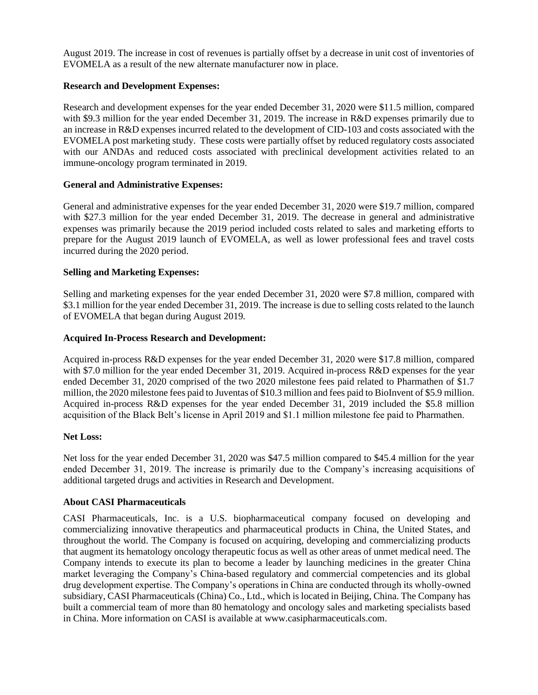August 2019. The increase in cost of revenues is partially offset by a decrease in unit cost of inventories of EVOMELA as a result of the new alternate manufacturer now in place.

#### **Research and Development Expenses:**

Research and development expenses for the year ended December 31, 2020 were \$11.5 million, compared with \$9.3 million for the year ended December 31, 2019. The increase in R&D expenses primarily due to an increase in R&D expenses incurred related to the development of CID-103 and costs associated with the EVOMELA post marketing study. These costs were partially offset by reduced regulatory costs associated with our ANDAs and reduced costs associated with preclinical development activities related to an immune-oncology program terminated in 2019.

#### **General and Administrative Expenses:**

General and administrative expenses for the year ended December 31, 2020 were \$19.7 million, compared with \$27.3 million for the year ended December 31, 2019. The decrease in general and administrative expenses was primarily because the 2019 period included costs related to sales and marketing efforts to prepare for the August 2019 launch of EVOMELA, as well as lower professional fees and travel costs incurred during the 2020 period.

## **Selling and Marketing Expenses:**

Selling and marketing expenses for the year ended December 31, 2020 were \$7.8 million, compared with \$3.1 million for the year ended December 31, 2019. The increase is due to selling costs related to the launch of EVOMELA that began during August 2019.

## **Acquired In-Process Research and Development:**

Acquired in-process R&D expenses for the year ended December 31, 2020 were \$17.8 million, compared with \$7.0 million for the year ended December 31, 2019. Acquired in-process R&D expenses for the year ended December 31, 2020 comprised of the two 2020 milestone fees paid related to Pharmathen of \$1.7 million, the 2020 milestone fees paid to Juventas of \$10.3 million and fees paid to BioInvent of \$5.9 million. Acquired in-process R&D expenses for the year ended December 31, 2019 included the \$5.8 million acquisition of the Black Belt's license in April 2019 and \$1.1 million milestone fee paid to Pharmathen.

#### **Net Loss:**

Net loss for the year ended December 31, 2020 was \$47.5 million compared to \$45.4 million for the year ended December 31, 2019. The increase is primarily due to the Company's increasing acquisitions of additional targeted drugs and activities in Research and Development.

#### **About CASI Pharmaceuticals**

CASI Pharmaceuticals, Inc. is a U.S. biopharmaceutical company focused on developing and commercializing innovative therapeutics and pharmaceutical products in China, the United States, and throughout the world. The Company is focused on acquiring, developing and commercializing products that augment its hematology oncology therapeutic focus as well as other areas of unmet medical need. The Company intends to execute its plan to become a leader by launching medicines in the greater China market leveraging the Company's China-based regulatory and commercial competencies and its global drug development expertise. The Company's operations in China are conducted through its wholly-owned subsidiary, CASI Pharmaceuticals (China) Co., Ltd., which is located in Beijing, China. The Company has built a commercial team of more than 80 hematology and oncology sales and marketing specialists based in China. More information on CASI is available at [www.casipharmaceuticals.com.](http://www.casipharmaceuticals.com/)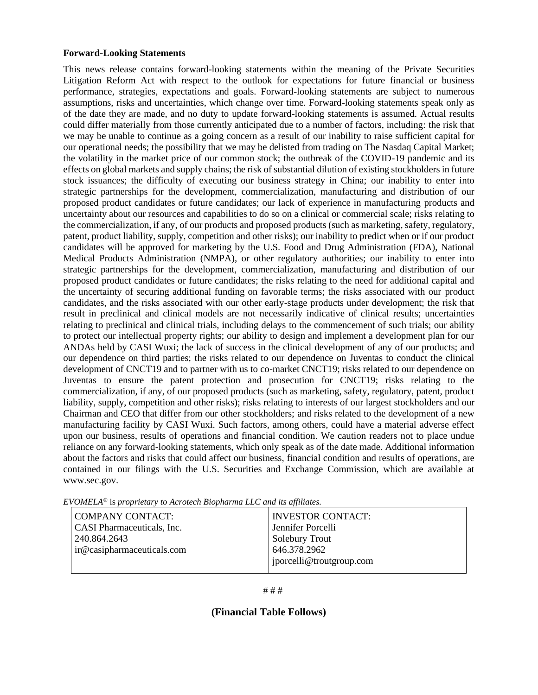#### **Forward-Looking Statements**

This news release contains forward-looking statements within the meaning of the Private Securities Litigation Reform Act with respect to the outlook for expectations for future financial or business performance, strategies, expectations and goals. Forward-looking statements are subject to numerous assumptions, risks and uncertainties, which change over time. Forward-looking statements speak only as of the date they are made, and no duty to update forward-looking statements is assumed. Actual results could differ materially from those currently anticipated due to a number of factors, including: the risk that we may be unable to continue as a going concern as a result of our inability to raise sufficient capital for our operational needs; the possibility that we may be delisted from trading on The Nasdaq Capital Market; the volatility in the market price of our common stock; the outbreak of the COVID-19 pandemic and its effects on global markets and supply chains; the risk of substantial dilution of existing stockholders in future stock issuances; the difficulty of executing our business strategy in China; our inability to enter into strategic partnerships for the development, commercialization, manufacturing and distribution of our proposed product candidates or future candidates; our lack of experience in manufacturing products and uncertainty about our resources and capabilities to do so on a clinical or commercial scale; risks relating to the commercialization, if any, of our products and proposed products (such as marketing, safety, regulatory, patent, product liability, supply, competition and other risks); our inability to predict when or if our product candidates will be approved for marketing by the U.S. Food and Drug Administration (FDA), National Medical Products Administration (NMPA), or other regulatory authorities; our inability to enter into strategic partnerships for the development, commercialization, manufacturing and distribution of our proposed product candidates or future candidates; the risks relating to the need for additional capital and the uncertainty of securing additional funding on favorable terms; the risks associated with our product candidates, and the risks associated with our other early-stage products under development; the risk that result in preclinical and clinical models are not necessarily indicative of clinical results; uncertainties relating to preclinical and clinical trials, including delays to the commencement of such trials; our ability to protect our intellectual property rights; our ability to design and implement a development plan for our ANDAs held by CASI Wuxi; the lack of success in the clinical development of any of our products; and our dependence on third parties; the risks related to our dependence on Juventas to conduct the clinical development of CNCT19 and to partner with us to co-market CNCT19; risks related to our dependence on Juventas to ensure the patent protection and prosecution for CNCT19; risks relating to the commercialization, if any, of our proposed products (such as marketing, safety, regulatory, patent, product liability, supply, competition and other risks); risks relating to interests of our largest stockholders and our Chairman and CEO that differ from our other stockholders; and risks related to the development of a new manufacturing facility by CASI Wuxi. Such factors, among others, could have a material adverse effect upon our business, results of operations and financial condition. We caution readers not to place undue reliance on any forward-looking statements, which only speak as of the date made. Additional information about the factors and risks that could affect our business, financial condition and results of operations, are contained in our filings with the U.S. Securities and Exchange Commission, which are available at [www.sec.gov.](http://www.sec.gov/)

| <b>COMPANY CONTACT:</b>    | <b>INVESTOR CONTACT:</b>                |
|----------------------------|-----------------------------------------|
| CASI Pharmaceuticals, Inc. | Jennifer Porcelli                       |
| 240.864.2643               | <b>Solebury Trout</b>                   |
| ir@casipharmaceuticals.com | 646.378.2962<br>porcelli@troutgroup.com |

*EVOMELA*® is *proprietary to Acrotech Biopharma LLC and its affiliates.*

#### **(Financial Table Follows)**

<sup># # #</sup>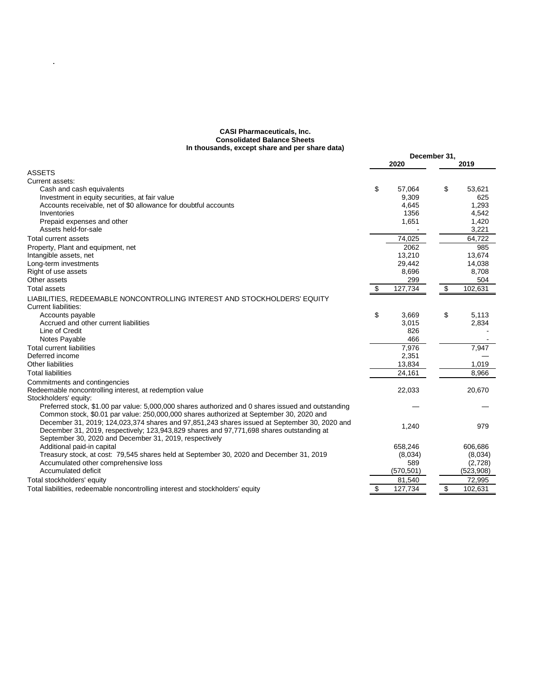#### **CASI Pharmaceuticals, Inc. Consolidated Balance Sheets In thousands, except share and per share data)**

 $\hat{\mathcal{L}}$ 

| $\mathbf{u}$ chousalids, except share and per share data)                                          |      |            | December 31, |           |  |
|----------------------------------------------------------------------------------------------------|------|------------|--------------|-----------|--|
|                                                                                                    | 2020 |            |              | 2019      |  |
| <b>ASSETS</b>                                                                                      |      |            |              |           |  |
| Current assets:                                                                                    |      |            |              |           |  |
| Cash and cash equivalents                                                                          | \$   | 57,064     | \$           | 53,621    |  |
| Investment in equity securities, at fair value                                                     |      | 9,309      |              | 625       |  |
| Accounts receivable, net of \$0 allowance for doubtful accounts                                    |      | 4,645      |              | 1,293     |  |
| Inventories                                                                                        |      | 1356       |              | 4,542     |  |
| Prepaid expenses and other                                                                         |      | 1,651      |              | 1,420     |  |
| Assets held-for-sale                                                                               |      |            |              | 3,221     |  |
| Total current assets                                                                               |      | 74,025     |              | 64,722    |  |
| Property, Plant and equipment, net                                                                 |      | 2062       |              | 985       |  |
| Intangible assets, net                                                                             |      | 13,210     |              | 13.674    |  |
| Long-term investments                                                                              |      | 29,442     |              | 14,038    |  |
| Right of use assets                                                                                |      | 8,696      |              | 8,708     |  |
| Other assets                                                                                       |      | 299        |              | 504       |  |
| <b>Total assets</b>                                                                                | \$   | 127,734    | \$           | 102,631   |  |
| LIABILITIES. REDEEMABLE NONCONTROLLING INTEREST AND STOCKHOLDERS' EQUITY                           |      |            |              |           |  |
| Current liabilities:                                                                               |      |            |              |           |  |
| Accounts payable                                                                                   | \$   | 3,669      | \$           | 5.113     |  |
| Accrued and other current liabilities                                                              |      | 3,015      |              | 2,834     |  |
| Line of Credit                                                                                     |      | 826        |              |           |  |
| Notes Payable                                                                                      |      | 466        |              |           |  |
| <b>Total current liabilities</b>                                                                   |      | 7,976      |              | 7,947     |  |
| Deferred income                                                                                    |      | 2,351      |              |           |  |
| Other liabilities                                                                                  |      | 13,834     |              | 1,019     |  |
| <b>Total liabilities</b>                                                                           |      | 24,161     |              | 8,966     |  |
| Commitments and contingencies                                                                      |      |            |              |           |  |
| Redeemable noncontrolling interest, at redemption value                                            |      | 22,033     |              | 20,670    |  |
| Stockholders' equity:                                                                              |      |            |              |           |  |
| Preferred stock, \$1.00 par value: 5,000,000 shares authorized and 0 shares issued and outstanding |      |            |              |           |  |
| Common stock, \$0.01 par value: 250,000,000 shares authorized at September 30, 2020 and            |      |            |              |           |  |
| December 31, 2019; 124,023,374 shares and 97,851,243 shares issued at September 30, 2020 and       |      | 1,240      |              | 979       |  |
| December 31, 2019, respectively; 123,943,829 shares and 97,771,698 shares outstanding at           |      |            |              |           |  |
| September 30, 2020 and December 31, 2019, respectively                                             |      |            |              |           |  |
| Additional paid-in capital                                                                         |      | 658.246    |              | 606.686   |  |
| Treasury stock, at cost: 79,545 shares held at September 30, 2020 and December 31, 2019            |      | (8,034)    |              | (8,034)   |  |
| Accumulated other comprehensive loss                                                               |      | 589        |              | (2,728)   |  |
| Accumulated deficit                                                                                |      | (570, 501) |              | (523,908) |  |
| Total stockholders' equity                                                                         |      | 81,540     |              | 72,995    |  |
| Total liabilities, redeemable noncontrolling interest and stockholders' equity                     | \$   | 127,734    | $\bullet$    | 102,631   |  |
|                                                                                                    |      |            |              |           |  |